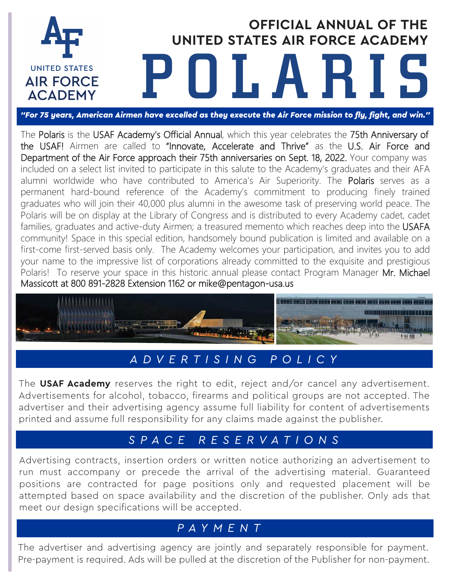

# **OFFICIAL ANNUAL OF THE UNITED STATES AIR FORCE ACADEMY** POLARIS

*["For 75 years, American Airmen have excelled as they execute the Air Force mission to fly, fight, and win."](https://www.af.mil/About-Us/AF-75th-Anniversary/)*

The Polaris is the USAF Academy's Official Annual, which this year celebrates the 75th Anniversary of the USAF! Airmen are called to "Innovate, Accelerate and Thrive" as the U.S. Air Force and Department of the Air Force approach their 75th anniversaries on Sept. 18, 2022. Your company was included on a select list invited to participate in this salute to the Academy's graduates and their AFA alumni worldwide who have contributed to America's Air Superiority. The Polaris serves as a permanent hard-bound reference of the Academy's commitment to producing finely trained graduates who will join their 40,000 plus alumni in the awesome task of preserving world peace. The Polaris will be on display at the Library of Congress and is distributed to every Academy cadet, cadet families, graduates and active-duty Airmen; a treasured memento which reaches deep into the USAFA community! Space in this special edition, handsomely bound publication is limited and available on a first-come first-served basis only. The Academy welcomes your participation, and invites you to add your name to the impressive list of corporations already committed to the exquisite and prestigious Polaris! To reserve your space in this historic annual please contact Program Manager Mr. Michael Massicott at 800 891-2828 Extension 1162 o[r mike@pentagon-usa.us](mailto:mike@pentagon-usa.us)



## *A D V E R TISIN G P OLI C Y*

The **USAF Academy** reserves the right to edit, reject and/or cancel any advertisement. Advertisements for alcohol, tobacco, firearms and political groups are not accepted. The advertiser and their advertising agency assume full liability for content of advertisements printed and assume full responsibility for any claims made against the publisher.

### *S P A CE RES E R V A T I O N S*

Advertising contracts, insertion orders or written notice authorizing an advertisement to run must accompany or precede the arrival of the advertising material. Guaranteed positions are contracted for page positions only and requested placement will be attempted based on space availability and the discretion of the publisher. Only ads that meet our design specifications will be accepted.

### *P A Y M E N T*

The advertiser and advertising agency are jointly and separately responsible for payment. Pre-payment is required. Ads will be pulled at the discretion of the Publisher for non-payment.